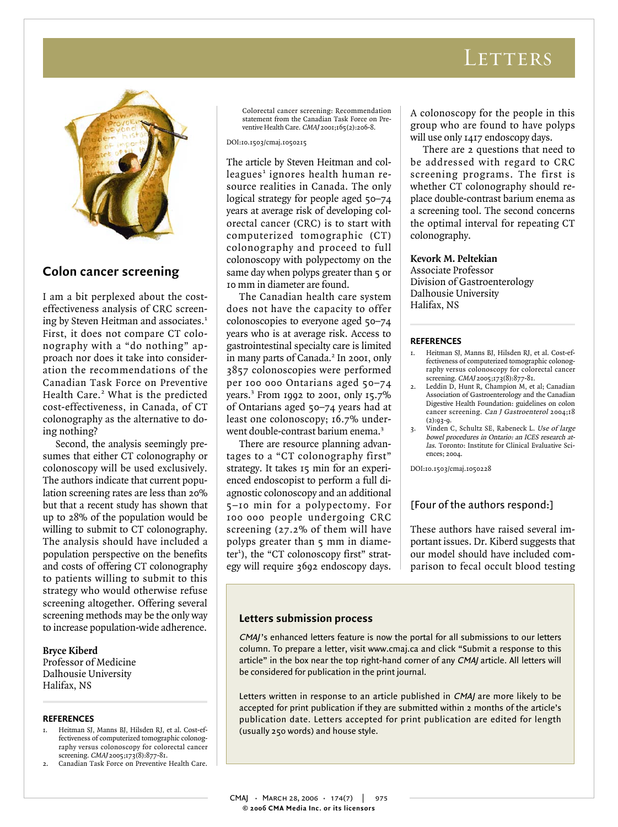# LETTERS



# **Colon cancer screening**

I am a bit perplexed about the costeffectiveness analysis of CRC screening by Steven Heitman and associates.<sup>1</sup> First, it does not compare CT colonography with a "do nothing" approach nor does it take into consideration the recommendations of the Canadian Task Force on Preventive Health Care.<sup>2</sup> What is the predicted cost-effectiveness, in Canada, of CT colonography as the alternative to doing nothing?

Second, the analysis seemingly presumes that either CT colonography or colonoscopy will be used exclusively. The authors indicate that current population screening rates are less than 20% but that a recent study has shown that up to 28% of the population would be willing to submit to CT colonography. The analysis should have included a population perspective on the benefits and costs of offering CT colonography to patients willing to submit to this strategy who would otherwise refuse screening altogether. Offering several screening methods may be the only way to increase population-wide adherence.

## **Bryce Kiberd**

Professor of Medicine Dalhousie University Halifax, NS

## **REFERENCES**

- 1. Heitman SJ, Manns BJ, Hilsden RJ, et al. Cost-effectiveness of computerized tomographic colonography versus colonoscopy for colorectal cancer screening. CMAJ 2005;173(8):877-81.
- Canadian Task Force on Preventive Health Care.

Colorectal cancer screening: Recommendation statement from the Canadian Task Force on Preventive Health Care. CMAJ 2001;165(2):206-8.

DOI:10.1503/cmaj.1050215

The article by Steven Heitman and colleagues<sup>1</sup> ignores health human resource realities in Canada. The only logical strategy for people aged 50–74 years at average risk of developing colorectal cancer (CRC) is to start with computerized tomographic (CT) colonography and proceed to full colonoscopy with polypectomy on the same day when polyps greater than 5 or 10 mm in diameter are found.

The Canadian health care system does not have the capacity to offer colonoscopies to everyone aged 50–74 years who is at average risk. Access to gastrointestinal specialty care is limited in many parts of Canada.<sup>2</sup> In 2001, only 3857 colonoscopies were performed per 100 000 Ontarians aged 50–74 years.<sup>3</sup> From 1992 to 2001, only 15.7% of Ontarians aged 50–74 years had at least one colonoscopy; 16.7% underwent double-contrast barium enema.<sup>3</sup>

There are resource planning advantages to a "CT colonography first" strategy. It takes 15 min for an experienced endoscopist to perform a full diagnostic colonoscopy and an additional 5–10 min for a polypectomy. For 100 000 people undergoing CRC screening (27.2% of them will have polyps greater than 5 mm in diameter<sup>1</sup>), the "CT colonoscopy first" strategy will require 3692 endoscopy days.

A colonoscopy for the people in this group who are found to have polyps will use only 1417 endoscopy days.

There are 2 questions that need to be addressed with regard to CRC screening programs. The first is whether CT colonography should replace double-contrast barium enema as a screening tool. The second concerns the optimal interval for repeating CT colonography.

## **Kevork M. Peltekian**

Associate Professor Division of Gastroenterology Dalhousie University Halifax, NS

#### **REFERENCES**

- 1. Heitman SJ, Manns BJ, Hilsden RJ, et al. Cost-effectiveness of computerized tomographic colonography versus colonoscopy for colorectal cancer screening. CMAJ 2005;173(8):877-81.
- Leddin D, Hunt R, Champion M, et al; Canadian Association of Gastroenterology and the Canadian Digestive Health Foundation: guidelines on colon cancer screening. Can J Gastroenterol 2004;18 (2):93-9.
- 3. Vinden C, Schultz SE, Rabeneck L. Use of large bowel procedures in Ontario: an ICES research atlas. Toronto: Institute for Clinical Evaluative Sciences; 2004.

DOI:10.1503/cmaj.1050228

## [Four of the authors respond:]

These authors have raised several important issues. Dr. Kiberd suggests that our model should have included comparison to fecal occult blood testing

## **Letters submission process**

CMAJ's enhanced letters feature is now the portal for all submissions to our letters column. To prepare a letter, visit www.cmaj.ca and click "Submit a response to this article" in the box near the top right-hand corner of any CMAJ article. All letters will be considered for publication in the print journal.

Letters written in response to an article published in CMAJ are more likely to be accepted for print publication if they are submitted within 2 months of the article's publication date. Letters accepted for print publication are edited for length (usually 250 words) and house style.